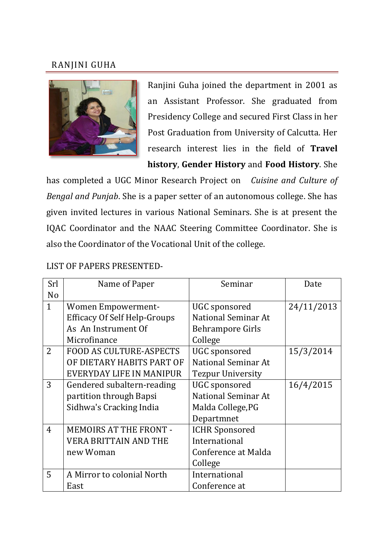## RANJINI GUHA



Ranjini Guha joined the department in 2001 as an Assistant Professor. She graduated from Presidency College and secured First Class in her Post Graduation from University of Calcutta. Her research interest lies in the field of **Travel history**, **Gender History** and **Food History**. She

has completed a UGC Minor Research Project on *Cuisine and Culture of Bengal and Punjab*. She is a paper setter of an autonomous college. She has given invited lectures in various National Seminars. She is at present the IQAC Coordinator and the NAAC Steering Committee Coordinator. She is also the Coordinator of the Vocational Unit of the college.

## LIST OF PAPERS PRESENTED-

| Srl            | Name of Paper                       | Seminar                    | Date       |
|----------------|-------------------------------------|----------------------------|------------|
| N <sub>o</sub> |                                     |                            |            |
| $\mathbf{1}$   | <b>Women Empowerment-</b>           | UGC sponsored              | 24/11/2013 |
|                | <b>Efficacy Of Self Help-Groups</b> | <b>National Seminar At</b> |            |
|                | As An Instrument Of                 | <b>Behrampore Girls</b>    |            |
|                | Microfinance                        | College                    |            |
| $\overline{2}$ | <b>FOOD AS CULTURE-ASPECTS</b>      | <b>UGC</b> sponsored       | 15/3/2014  |
|                | OF DIETARY HABITS PART OF           | <b>National Seminar At</b> |            |
|                | EVERYDAY LIFE IN MANIPUR            | <b>Tezpur University</b>   |            |
| 3              | Gendered subaltern-reading          | <b>UGC</b> sponsored       | 16/4/2015  |
|                | partition through Bapsi             | National Seminar At        |            |
|                | Sidhwa's Cracking India             | Malda College, PG          |            |
|                |                                     | Departmnet                 |            |
| $\overline{4}$ | <b>MEMOIRS AT THE FRONT -</b>       | <b>ICHR Sponsored</b>      |            |
|                | <b>VERA BRITTAIN AND THE</b>        | International              |            |
|                | new Woman                           | Conference at Malda        |            |
|                |                                     | College                    |            |
| 5              | A Mirror to colonial North          | International              |            |
|                | East                                | Conference at              |            |